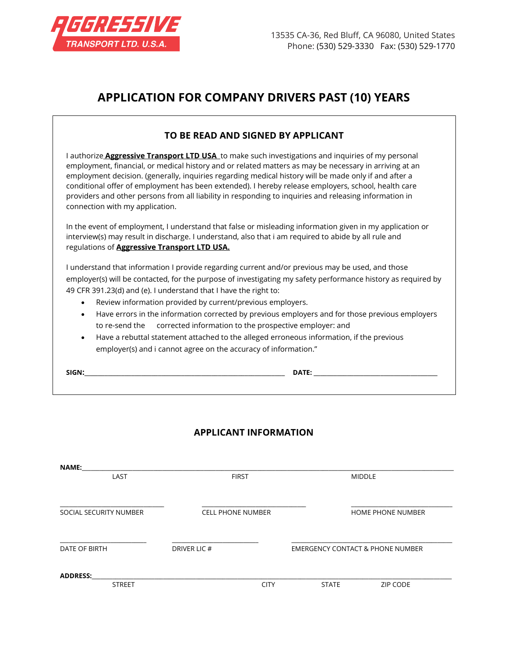

# **APPLICATION FOR COMPANY DRIVERS PAST (10) YEARS**

## **TO BE READ AND SIGNED BY APPLICANT**

I authorize **Aggressive Transport LTD USA** to make such investigations and inquiries of my personal employment, financial, or medical history and or related matters as may be necessary in arriving at an employment decision. (generally, inquiries regarding medical history will be made only if and after a conditional offer of employment has been extended). I hereby release employers, school, health care providers and other persons from all liability in responding to inquiries and releasing information in connection with my application.

In the event of employment, I understand that false or misleading information given in my application or interview(s) may result in discharge. I understand, also that i am required to abide by all rule and regulations of **Aggressive Transport LTD USA.**

I understand that information I provide regarding current and/or previous may be used, and those employer(s) will be contacted, for the purpose of investigating my safety performance history as required by 49 CFR 391.23(d) and (e). I understand that I have the right to:

- Review information provided by current/previous employers.
- Have errors in the information corrected by previous employers and for those previous employers to re-send the corrected information to the prospective employer: and
- Have a rebuttal statement attached to the alleged erroneous information, if the previous employer(s) and i cannot agree on the accuracy of information."

**SIGN:**\_\_\_\_\_\_\_\_\_\_\_\_\_\_\_\_\_\_\_\_\_\_\_\_\_\_\_\_\_\_\_\_\_\_\_\_\_\_\_\_\_\_\_\_\_\_\_\_\_\_\_\_\_\_\_\_\_\_\_\_ **DATE:** \_\_\_\_\_\_\_\_\_\_\_\_\_\_\_\_\_\_\_\_\_\_\_\_\_\_\_\_\_\_\_\_\_\_\_\_\_

# **APPLICANT INFORMATION**

| <b>NAME:</b>                     |                          |             |                                             |                          |
|----------------------------------|--------------------------|-------------|---------------------------------------------|--------------------------|
| LAST                             | <b>FIRST</b>             |             |                                             | <b>MIDDLE</b>            |
|                                  |                          |             |                                             |                          |
| SOCIAL SECURITY NUMBER           | <b>CELL PHONE NUMBER</b> |             |                                             | <b>HOME PHONE NUMBER</b> |
| DATE OF BIRTH                    | DRIVER LIC #             |             | <b>EMERGENCY CONTACT &amp; PHONE NUMBER</b> |                          |
| <b>ADDRESS:</b><br><b>STREET</b> |                          | <b>CITY</b> | <b>STATE</b>                                | <b>ZIP CODE</b>          |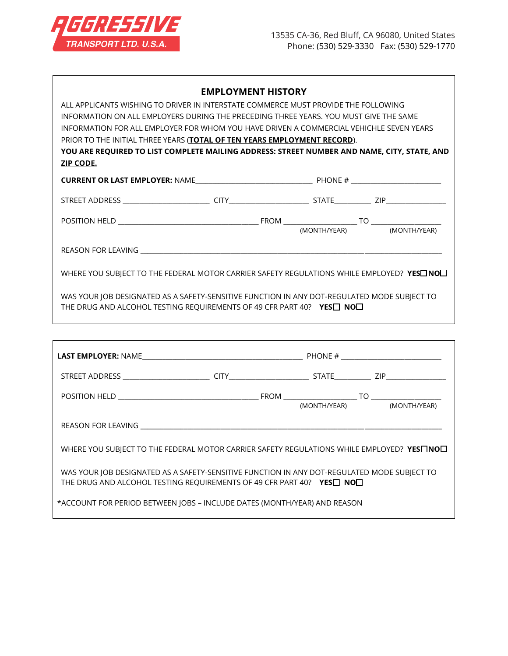

#### **EMPLOYMENT HISTORY**

ALL APPLICANTS WISHING TO DRIVER IN INTERSTATE COMMERCE MUST PROVIDE THE FOLLOWING INFORMATION ON ALL EMPLOYERS DURING THE PRECEDING THREE YEARS. YOU MUST GIVE THE SAME INFORMATION FOR ALL EMPLOYER FOR WHOM YOU HAVE DRIVEN A COMMERCIAL VEHICHLE SEVEN YEARS PRIOR TO THE INITIAL THREE YEARS (**TOTAL OF TEN YEARS EMPLOYMENT RECORD**). **YOU ARE REQUIRED TO LIST COMPLETE MAILING ADDRESS: STREET NUMBER AND NAME, CITY, STATE, AND ZIP CODE.**

| <b>CURRENT OR LAST EMPLOYER: NAME</b><br><u> 1980 - Jan Stein Stein Stein Stein Stein Stein Stein Stein Stein Stein Stein Stein Stein Stein Stein Stein S</u> |             | PHONE #<br><u> 1980 - Jan Samuel Barbara, martin a shekara 1980 - An tsa a tsa a tsa a tsa a tsa a tsa a tsa a tsa a tsa a t</u> |              |     |              |
|---------------------------------------------------------------------------------------------------------------------------------------------------------------|-------------|----------------------------------------------------------------------------------------------------------------------------------|--------------|-----|--------------|
| STREET ADDRESS<br>the contract of the contract of the contract of                                                                                             | <b>CITY</b> |                                                                                                                                  | STATE        | ZIP |              |
| POSITION HELD                                                                                                                                                 |             | FROM                                                                                                                             | (MONTH/YEAR) | TΟ  | (MONTH/YEAR) |
| <b>REASON FOR LEAVING</b>                                                                                                                                     |             |                                                                                                                                  |              |     |              |

WHERE YOU SUBJECT TO THE FEDERAL MOTOR CARRIER SAFETY REGULATIONS WHILE EMPLOYED? YES<sup>I</sup>NO<sup>I</sup>

WAS YOUR JOB DESIGNATED AS A SAFETY-SENSITIVE FUNCTION IN ANY DOT-REGULATED MODE SUBJECT TO THE DRUG AND ALCOHOL TESTING REQUIREMENTS OF 49 CFR PART 40? YES<sup>I</sup> NO<sup>1</sup>

| WHERE YOU SUBJECT TO THE FEDERAL MOTOR CARRIER SAFETY REGULATIONS WHILE EMPLOYED? YES $\square$ NO $\square$                                                       |  |  |
|--------------------------------------------------------------------------------------------------------------------------------------------------------------------|--|--|
| WAS YOUR JOB DESIGNATED AS A SAFETY-SENSITIVE FUNCTION IN ANY DOT-REGULATED MODE SUBJECT TO<br>THE DRUG AND ALCOHOL TESTING REQUIREMENTS OF 49 CFR PART 40? YES NO |  |  |
| *ACCOUNT FOR PERIOD BETWEEN JOBS - INCLUDE DATES (MONTH/YEAR) AND REASON                                                                                           |  |  |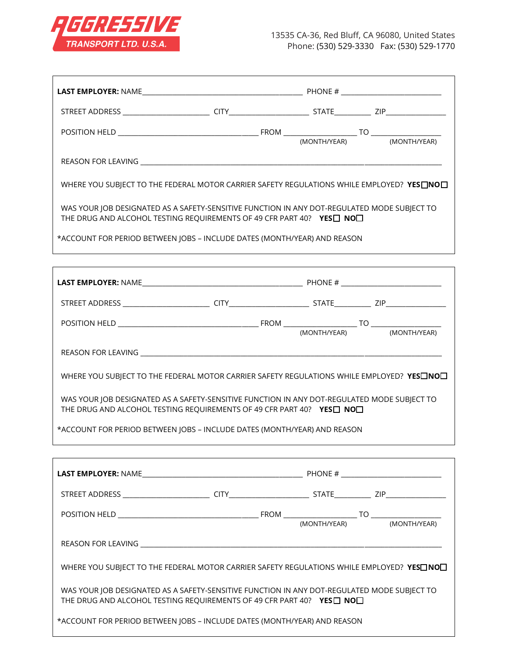

| WHERE YOU SUBJECT TO THE FEDERAL MOTOR CARRIER SAFETY REGULATIONS WHILE EMPLOYED? YESONO                                                                            |  |  |
|---------------------------------------------------------------------------------------------------------------------------------------------------------------------|--|--|
| WAS YOUR JOB DESIGNATED AS A SAFETY-SENSITIVE FUNCTION IN ANY DOT-REGULATED MODE SUBJECT TO<br>THE DRUG AND ALCOHOL TESTING REQUIREMENTS OF 49 CFR PART 40? YES NON |  |  |
| *ACCOUNT FOR PERIOD BETWEEN JOBS - INCLUDE DATES (MONTH/YEAR) AND REASON                                                                                            |  |  |
|                                                                                                                                                                     |  |  |
|                                                                                                                                                                     |  |  |
|                                                                                                                                                                     |  |  |
|                                                                                                                                                                     |  |  |
|                                                                                                                                                                     |  |  |
| WHERE YOU SUBJECT TO THE FEDERAL MOTOR CARRIER SAFETY REGULATIONS WHILE EMPLOYED? YESONOL                                                                           |  |  |
| WAS YOUR JOB DESIGNATED AS A SAFETY-SENSITIVE FUNCTION IN ANY DOT-REGULATED MODE SUBJECT TO<br>THE DRUG AND ALCOHOL TESTING REQUIREMENTS OF 49 CFR PART 40? YES NO  |  |  |
| *ACCOUNT FOR PERIOD BETWEEN JOBS - INCLUDE DATES (MONTH/YEAR) AND REASON                                                                                            |  |  |
|                                                                                                                                                                     |  |  |
|                                                                                                                                                                     |  |  |
|                                                                                                                                                                     |  |  |
|                                                                                                                                                                     |  |  |
|                                                                                                                                                                     |  |  |
| WHERE YOU SUBJECT TO THE FEDERAL MOTOR CARRIER SAFETY REGULATIONS WHILE EMPLOYED? YESONO                                                                            |  |  |
| WAS YOUR JOB DESIGNATED AS A SAFETY-SENSITIVE FUNCTION IN ANY DOT-REGULATED MODE SUBJECT TO<br>THE DRUG AND ALCOHOL TESTING REQUIREMENTS OF 49 CFR PART 40? YES NON |  |  |
| *ACCOUNT FOR PERIOD BETWEEN JOBS - INCLUDE DATES (MONTH/YEAR) AND REASON                                                                                            |  |  |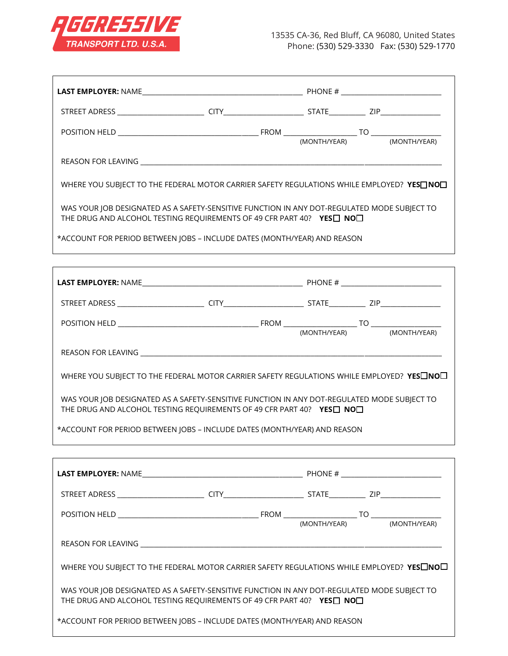

| WHERE YOU SUBJECT TO THE FEDERAL MOTOR CARRIER SAFETY REGULATIONS WHILE EMPLOYED? YESONO                                                                           |  |  |
|--------------------------------------------------------------------------------------------------------------------------------------------------------------------|--|--|
| WAS YOUR JOB DESIGNATED AS A SAFETY-SENSITIVE FUNCTION IN ANY DOT-REGULATED MODE SUBJECT TO<br>THE DRUG AND ALCOHOL TESTING REQUIREMENTS OF 49 CFR PART 40? YES NO |  |  |
| *ACCOUNT FOR PERIOD BETWEEN JOBS - INCLUDE DATES (MONTH/YEAR) AND REASON                                                                                           |  |  |
|                                                                                                                                                                    |  |  |
|                                                                                                                                                                    |  |  |
|                                                                                                                                                                    |  |  |
|                                                                                                                                                                    |  |  |
|                                                                                                                                                                    |  |  |
|                                                                                                                                                                    |  |  |
| WHERE YOU SUBJECT TO THE FEDERAL MOTOR CARRIER SAFETY REGULATIONS WHILE EMPLOYED? YESONO                                                                           |  |  |
| WAS YOUR JOB DESIGNATED AS A SAFETY-SENSITIVE FUNCTION IN ANY DOT-REGULATED MODE SUBJECT TO<br>THE DRUG AND ALCOHOL TESTING REQUIREMENTS OF 49 CFR PART 40? YES NO |  |  |
| *ACCOUNT FOR PERIOD BETWEEN JOBS - INCLUDE DATES (MONTH/YEAR) AND REASON                                                                                           |  |  |
|                                                                                                                                                                    |  |  |
|                                                                                                                                                                    |  |  |
|                                                                                                                                                                    |  |  |
|                                                                                                                                                                    |  |  |
|                                                                                                                                                                    |  |  |
|                                                                                                                                                                    |  |  |
| WHERE YOU SUBJECT TO THE FEDERAL MOTOR CARRIER SAFETY REGULATIONS WHILE EMPLOYED? YESHOL                                                                           |  |  |
| WAS YOUR JOB DESIGNATED AS A SAFETY-SENSITIVE FUNCTION IN ANY DOT-REGULATED MODE SUBJECT TO<br>THE DRUG AND ALCOHOL TESTING REQUIREMENTS OF 49 CFR PART 40? YES NO |  |  |
| *ACCOUNT FOR PERIOD BETWEEN JOBS - INCLUDE DATES (MONTH/YEAR) AND REASON                                                                                           |  |  |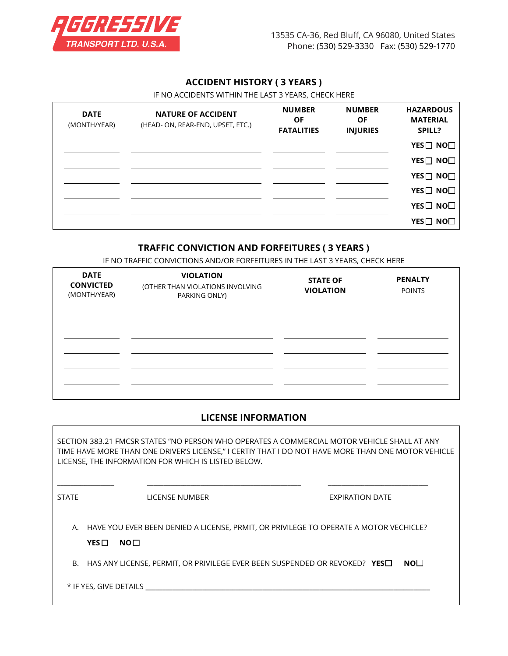

### **ACCIDENT HISTORY ( 3 YEARS )**

IF NO ACCIDENTS WITHIN THE LAST 3 YEARS, CHECK HERE

| <b>DATE</b><br>(MONTH/YEAR) | <b>NATURE OF ACCIDENT</b><br>(HEAD- ON, REAR-END, UPSET, ETC.) | <b>NUMBER</b><br><b>OF</b><br><b>FATALITIES</b> | <b>NUMBER</b><br><b>OF</b><br><b>INJURIES</b> | <b>HAZARDOUS</b><br><b>MATERIAL</b><br>SPILL? |
|-----------------------------|----------------------------------------------------------------|-------------------------------------------------|-----------------------------------------------|-----------------------------------------------|
|                             |                                                                |                                                 |                                               | YES□ NO□                                      |
|                             |                                                                |                                                 |                                               | YES□ NO□                                      |
|                             |                                                                |                                                 |                                               | YES□ NO□                                      |
|                             |                                                                |                                                 |                                               | YES□ NO□                                      |
|                             |                                                                |                                                 |                                               | YES□ NO□                                      |
|                             |                                                                |                                                 |                                               | YES□ NO□                                      |

### **TRAFFIC CONVICTION AND FORFEITURES ( 3 YEARS )**

IF NO TRAFFIC CONVICTIONS AND/OR FORFEITURES IN THE LAST 3 YEARS, CHECK HERE

| <b>DATE</b><br><b>CONVICTED</b><br>(MONTH/YEAR) | <b>VIOLATION</b><br>(OTHER THAN VIOLATIONS INVOLVING<br>PARKING ONLY) | <b>STATE OF</b><br><b>VIOLATION</b> | <b>PENALTY</b><br><b>POINTS</b> |
|-------------------------------------------------|-----------------------------------------------------------------------|-------------------------------------|---------------------------------|
|                                                 |                                                                       |                                     |                                 |
|                                                 |                                                                       |                                     |                                 |

#### **LICENSE INFORMATION**

SECTION 383.21 FMCSR STATES "NO PERSON WHO OPERATES A COMMERCIAL MOTOR VEHICLE SHALL AT ANY TIME HAVE MORE THAN ONE DRIVER'S LICENSE," I CERTIY THAT I DO NOT HAVE MORE THAN ONE MOTOR VEHICLE LICENSE, THE INFORMATION FOR WHICH IS LISTED BELOW.

 $\_$  ,  $\_$  ,  $\_$  ,  $\_$  ,  $\_$  ,  $\_$  ,  $\_$  ,  $\_$  ,  $\_$  ,  $\_$  ,  $\_$  ,  $\_$  ,  $\_$  ,  $\_$  ,  $\_$  ,  $\_$  ,  $\_$  ,  $\_$  ,  $\_$  ,  $\_$  ,  $\_$  ,  $\_$  ,  $\_$  ,  $\_$  ,  $\_$  ,  $\_$  ,  $\_$  ,  $\_$  ,  $\_$  ,  $\_$  ,  $\_$  ,  $\_$  ,  $\_$  ,  $\_$  ,  $\_$  ,  $\_$  ,  $\_$  ,

STATE **STATE** LICENSE NUMBER **EXPIRATION DATE** 

A. HAVE YOU EVER BEEN DENIED A LICENSE, PRMIT, OR PRIVILEGE TO OPERATE A MOTOR VECHICLE?

**YES□ NO**□

B. HAS ANY LICENSE, PERMIT, OR PRIVILEGE EVER BEEN SUSPENDED OR REVOKED? YES<sup>[116</sup>]

\* IF YES, GIVE DETAILS \_\_\_\_\_\_\_\_\_\_\_\_\_\_\_\_\_\_\_\_\_\_\_\_\_\_\_\_\_\_\_\_\_\_\_\_\_\_\_\_\_\_\_\_\_\_\_\_\_\_\_\_\_\_\_\_\_\_\_\_\_\_\_\_\_\_\_\_\_\_\_\_\_\_\_\_\_\_\_\_\_\_\_\_\_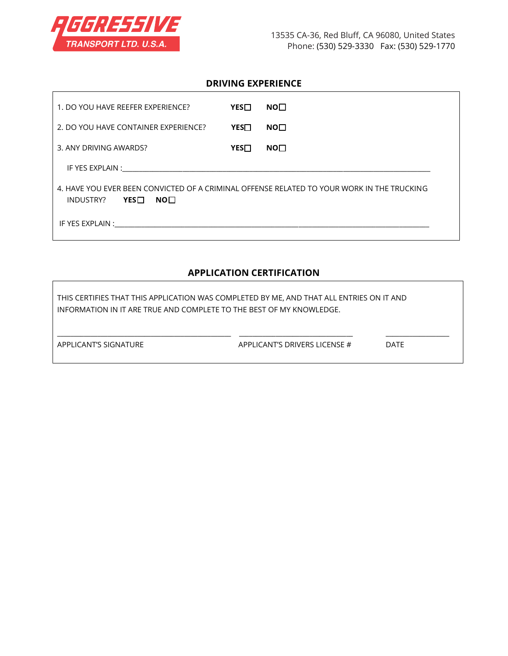

 $\mathsf{r}$ 

### **DRIVING EXPERIENCE**

| 1. DO YOU HAVE REEFER EXPERIENCE?                                                                                                                                                                                              | $YES\Box$ | NO <sub>1</sub> |
|--------------------------------------------------------------------------------------------------------------------------------------------------------------------------------------------------------------------------------|-----------|-----------------|
| 2. DO YOU HAVE CONTAINER EXPERIENCE?                                                                                                                                                                                           | YES⊟      | NO <sub>1</sub> |
| 3. ANY DRIVING AWARDS?                                                                                                                                                                                                         | $YES\Box$ | NO <sub>1</sub> |
|                                                                                                                                                                                                                                |           |                 |
| 4. HAVE YOU EVER BEEN CONVICTED OF A CRIMINAL OFFENSE RELATED TO YOUR WORK IN THE TRUCKING<br><b>YES</b> $\Box$<br>INDUSTRY?<br>NO <sub>1</sub>                                                                                |           |                 |
| IF YES EXPLAIN : THE RESERVE THE RESERVE THE RESERVE THE RESERVE THE RESERVE THE RESERVE THE RESERVE THE RESERVE THAN A STRIKE THE RESERVE THAN A STRIKE THE RESERVE THAN A STRIKE THAN A STRIKE THAN A STRIKE THAN A STRIKE T |           |                 |

## **APPLICATION CERTIFICATION**

| THIS CERTIFIES THAT THIS APPLICATION WAS COMPLETED BY ME, AND THAT ALL ENTRIES ON IT AND<br>INFORMATION IN IT ARE TRUE AND COMPLETE TO THE BEST OF MY KNOWLEDGE. |                               |             |  |  |  |
|------------------------------------------------------------------------------------------------------------------------------------------------------------------|-------------------------------|-------------|--|--|--|
| APPLICANT'S SIGNATURE                                                                                                                                            | APPLICANT'S DRIVERS LICENSE # | <b>DATE</b> |  |  |  |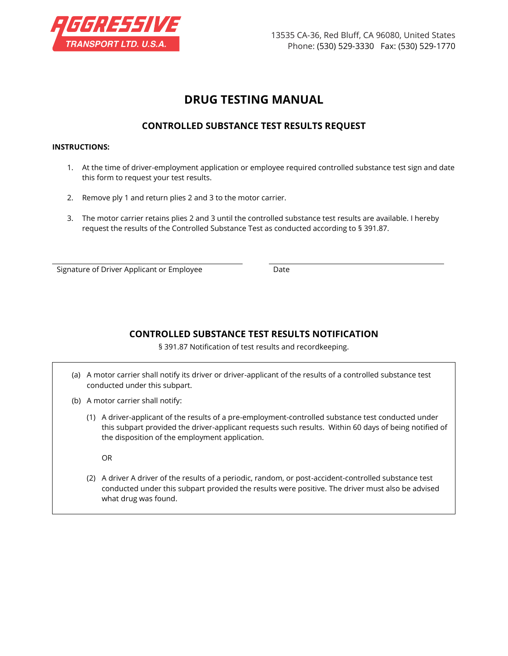

# **DRUG TESTING MANUAL**

## **CONTROLLED SUBSTANCE TEST RESULTS REQUEST**

#### **INSTRUCTIONS:**

- 1. At the time of driver-employment application or employee required controlled substance test sign and date this form to request your test results.
- 2. Remove ply 1 and return plies 2 and 3 to the motor carrier.
- 3. The motor carrier retains plies 2 and 3 until the controlled substance test results are available. I hereby request the results of the Controlled Substance Test as conducted according to § 391.87.

Signature of Driver Applicant or Employee Date

## **CONTROLLED SUBSTANCE TEST RESULTS NOTIFICATION**

§ 391.87 Notification of test results and recordkeeping.

- (a) A motor carrier shall notify its driver or driver-applicant of the results of a controlled substance test conducted under this subpart.
- (b) A motor carrier shall notify:
	- (1) A driver-applicant of the results of a pre-employment-controlled substance test conducted under this subpart provided the driver-applicant requests such results. Within 60 days of being notified of the disposition of the employment application.

OR

(2) A driver A driver of the results of a periodic, random, or post-accident-controlled substance test conducted under this subpart provided the results were positive. The driver must also be advised what drug was found.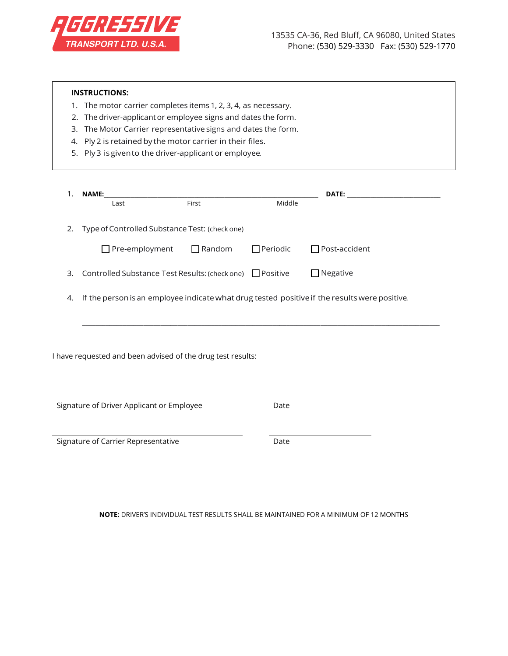

| <b>INSTRUCTIONS:</b><br>1. The motor carrier completes items 1, 2, 3, 4, as necessary.<br>The driver-applicant or employee signs and dates the form.<br>2.<br>The Motor Carrier representative signs and dates the form.<br>3.<br>Ply 2 is retained by the motor carrier in their files.<br>4.<br>5. Ply 3 is given to the driver-applicant or employee. |                                                             |               |                 |                                                                                               |  |  |
|----------------------------------------------------------------------------------------------------------------------------------------------------------------------------------------------------------------------------------------------------------------------------------------------------------------------------------------------------------|-------------------------------------------------------------|---------------|-----------------|-----------------------------------------------------------------------------------------------|--|--|
| 1.                                                                                                                                                                                                                                                                                                                                                       | NAME:<br>Last                                               | First         | Middle          | DATE:                                                                                         |  |  |
| 2.                                                                                                                                                                                                                                                                                                                                                       | Type of Controlled Substance Test: (check one)              |               |                 |                                                                                               |  |  |
|                                                                                                                                                                                                                                                                                                                                                          | $\Box$ Pre-employment                                       | $\Box$ Random | $\Box$ Periodic | Post-accident                                                                                 |  |  |
| 3.                                                                                                                                                                                                                                                                                                                                                       | Controlled Substance Test Results: (check one) □ Positive   |               |                 | $\Box$ Negative                                                                               |  |  |
| 4.                                                                                                                                                                                                                                                                                                                                                       |                                                             |               |                 | If the person is an employee indicate what drug tested positive if the results were positive. |  |  |
|                                                                                                                                                                                                                                                                                                                                                          | I have requested and been advised of the drug test results: |               |                 |                                                                                               |  |  |
|                                                                                                                                                                                                                                                                                                                                                          | Signature of Driver Applicant or Employee                   |               | Date            |                                                                                               |  |  |
|                                                                                                                                                                                                                                                                                                                                                          | Signature of Carrier Representative                         |               | Date            |                                                                                               |  |  |

**NOTE:** DRIVER'S INDIVIDUAL TEST RESULTS SHALL BE MAINTAINED FOR A MINIMUM OF 12 MONTHS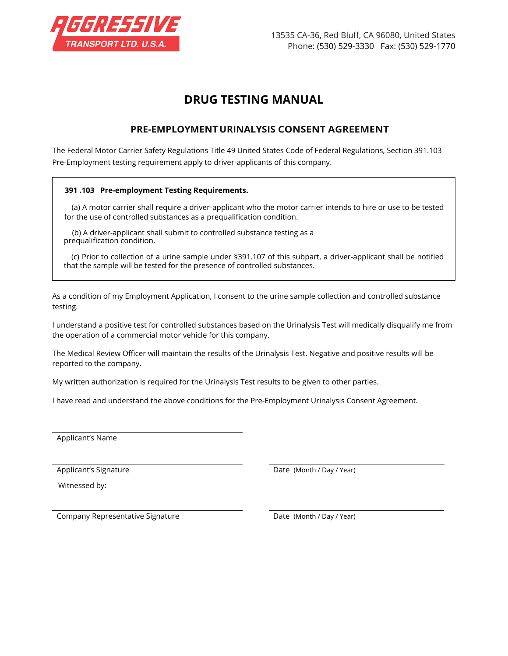

# **DRUG TESTING MANUAL**

## **PRE-EMPLOYMENT URINALYSIS CONSENT AGREEMENT**

The Federal Motor Carrier Safety Regulations Title 49 United States Code of Federal Regulations, Section 391.103 Pre-Employment testing requirement apply to driver-applicants of this company.

#### **391 .103 Pre-employment Testing Requirements.**

(a) A motor carrier shall require a driver-applicant who the motor carrier intends to hire or use to be tested for the use of controlled substances as a prequalification condition.

(b) A driver-applicant shall submit to controlled substance testing as a prequalification condition.

(c) Prior to collection of a urine sample under §391.107 of this subpart, a driver-applicant shall be notified that the sample will be tested for the presence of controlled substances.

As a condition of my Employment Application, I consent to the urine sample collection and controlled substance testing.

I understand a positive test for controlled substances based on the Urinalysis Test will medically disqualify me from the operation of a commercial motor vehicle for this company.

The Medical Review Officer will maintain the results of the Urinalysis Test. Negative and positive results will be reported to the company.

My written authorization is required for the Urinalysis Test results to be given to other parties.

I have read and understand the above conditions for the Pre-Employment Urinalysis Consent Agreement.

Applicant's Name

Witnessed by:

Applicant's Signature **Date (Month / Day / Year)** 

Company Representative Signature **Date (Month / Day / Year)**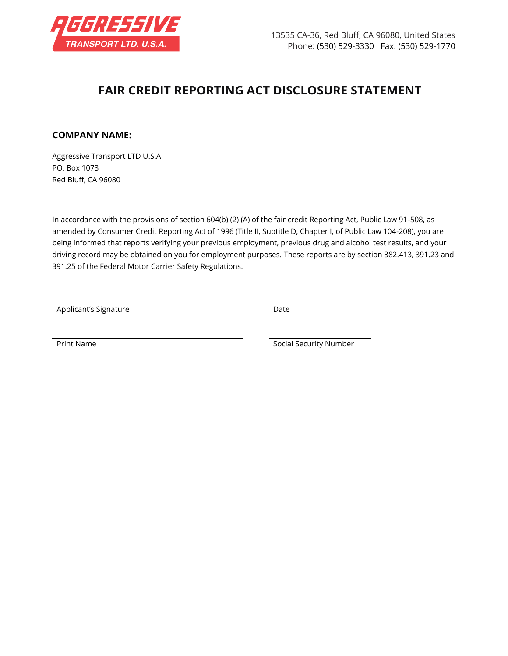

# **FAIR CREDIT REPORTING ACT DISCLOSURE STATEMENT**

### **COMPANY NAME:**

Aggressive Transport LTD U.S.A. PO. Box 1073 Red Bluff, CA 96080

In accordance with the provisions of section 604(b) (2) (A) of the fair credit Reporting Act, Public Law 91-508, as amended by Consumer Credit Reporting Act of 1996 (Title II, Subtitle D, Chapter I, of Public Law 104-208), you are being informed that reports verifying your previous employment, previous drug and alcohol test results, and your driving record may be obtained on you for employment purposes. These reports are by section 382.413, 391.23 and 391.25 of the Federal Motor Carrier Safety Regulations.

Applicant's Signature **Date** Date

Print Name **Social Security Number** Social Security Number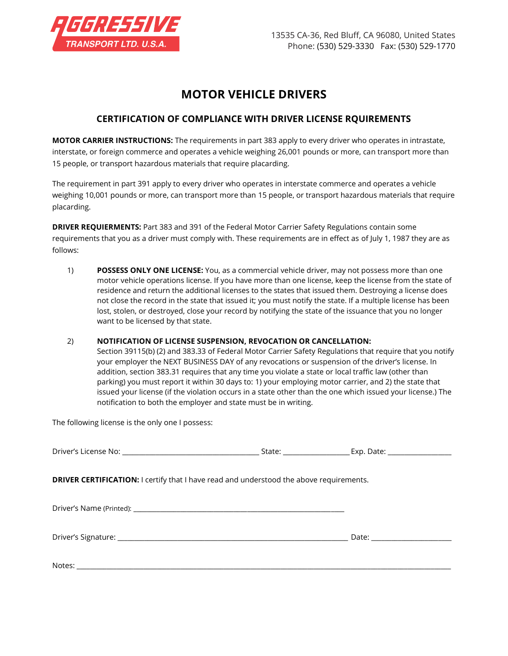

# **MOTOR VEHICLE DRIVERS**

## **CERTIFICATION OF COMPLIANCE WITH DRIVER LICENSE RQUIREMENTS**

**MOTOR CARRIER INSTRUCTIONS:** The requirements in part 383 apply to every driver who operates in intrastate, interstate, or foreign commerce and operates a vehicle weighing 26,001 pounds or more, can transport more than 15 people, or transport hazardous materials that require placarding.

The requirement in part 391 apply to every driver who operates in interstate commerce and operates a vehicle weighing 10,001 pounds or more, can transport more than 15 people, or transport hazardous materials that require placarding.

**DRIVER REQUIERMENTS:** Part 383 and 391 of the Federal Motor Carrier Safety Regulations contain some requirements that you as a driver must comply with. These requirements are in effect as of July 1, 1987 they are as follows:

1) **POSSESS ONLY ONE LICENSE:** You, as a commercial vehicle driver, may not possess more than one motor vehicle operations license. If you have more than one license, keep the license from the state of residence and return the additional licenses to the states that issued them. Destroying a license does not close the record in the state that issued it; you must notify the state. If a multiple license has been lost, stolen, or destroyed, close your record by notifying the state of the issuance that you no longer want to be licensed by that state.

#### 2) **NOTIFICATION OF LICENSE SUSPENSION, REVOCATION OR CANCELLATION:**

Section 39115(b) (2) and 383.33 of Federal Motor Carrier Safety Regulations that require that you notify your employer the NEXT BUSINESS DAY of any revocations or suspension of the driver's license. In addition, section 383.31 requires that any time you violate a state or local traffic law (other than parking) you must report it within 30 days to: 1) your employing motor carrier, and 2) the state that issued your license (if the violation occurs in a state other than the one which issued your license.) The notification to both the employer and state must be in writing.

The following license is the only one I possess:

| <b>DRIVER CERTIFICATION:</b> I certify that I have read and understood the above requirements. |                                 |
|------------------------------------------------------------------------------------------------|---------------------------------|
|                                                                                                |                                 |
|                                                                                                | Date: _________________________ |
|                                                                                                |                                 |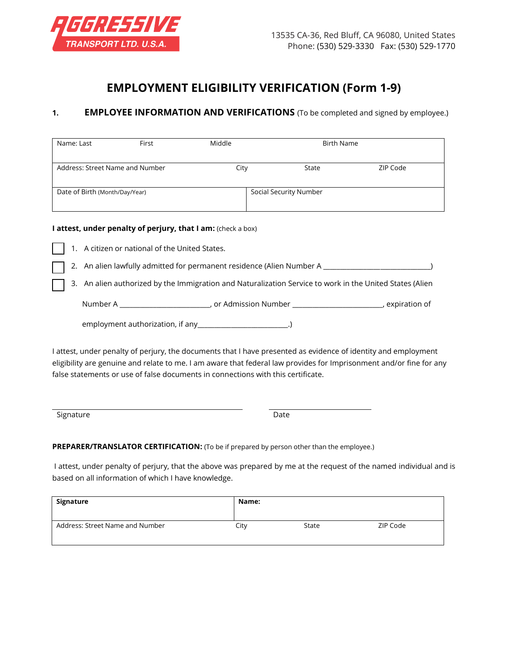

# **EMPLOYMENT ELIGIBILITY VERIFICATION (Form 1-9)**

### **1. EMPLOYEE INFORMATION AND VERIFICATIONS** (To be completed and signed by employee.)

| Name: Last                      | First | Middle |                        | <b>Birth Name</b> |
|---------------------------------|-------|--------|------------------------|-------------------|
| Address: Street Name and Number |       | City   | State                  | ZIP Code          |
| Date of Birth (Month/Day/Year)  |       |        | Social Security Number |                   |

#### **I attest, under penalty of perjury, that I am:** (check a box)

- 1. A citizen or national of the United States.
- 2. An alien lawfully admitted for permanent residence (Alien Number A \_\_\_\_\_\_\_\_\_\_\_\_\_\_\_\_\_\_\_\_\_\_\_\_\_\_\_\_\_)
- 3. An alien authorized by the Immigration and Naturalization Service to work in the United States (Alien

Number A \_\_\_\_\_\_\_\_\_\_\_\_\_\_\_\_\_\_\_\_\_\_\_\_\_\_\_\_\_\_\_, or Admission Number \_\_\_\_\_\_\_\_\_\_\_\_\_\_\_\_\_\_\_\_\_\_\_\_\_\_\_\_\_\_\_\_, expiration of

employment authorization, if any \_\_\_\_\_\_\_\_\_\_\_\_\_\_\_\_\_\_\_\_\_\_\_.)

I attest, under penalty of perjury, the documents that I have presented as evidence of identity and employment eligibility are genuine and relate to me. I am aware that federal law provides for Imprisonment and/or fine for any false statements or use of false documents in connections with this certificate.

Signature **Date** 

#### **PREPARER/TRANSLATOR CERTIFICATION:** (To be if prepared by person other than the employee.)

I attest, under penalty of perjury, that the above was prepared by me at the request of the named individual and is based on all information of which I have knowledge.

| Signature                       | Name: |       |          |
|---------------------------------|-------|-------|----------|
| Address: Street Name and Number | City  | State | ZIP Code |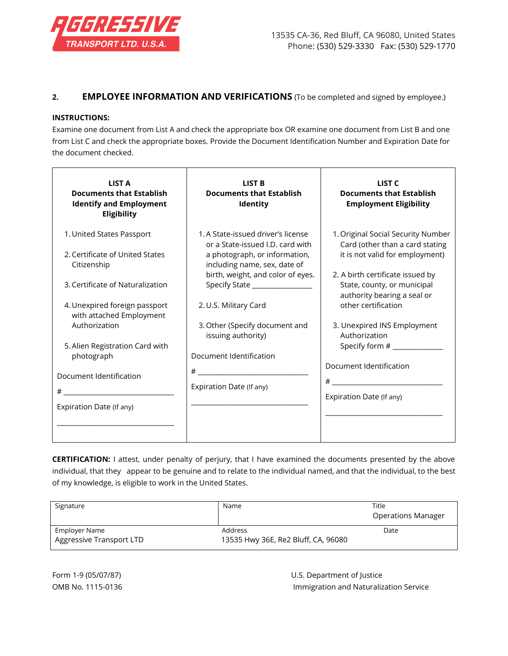

### **2. EMPLOYEE INFORMATION AND VERIFICATIONS** (To be completed and signed by employee.)

#### **INSTRUCTIONS:**

Examine one document from List A and check the appropriate box OR examine one document from List B and one from List C and check the appropriate boxes. Provide the Document Identification Number and Expiration Date for the document checked.

| LIST A<br><b>Documents that Establish</b><br><b>Identify and Employment</b><br>Eligibility | <b>LIST B</b><br><b>Documents that Establish</b><br>Identity                                            | LIST <sub>C</sub><br><b>Documents that Establish</b><br><b>Employment Eligibility</b>                    |
|--------------------------------------------------------------------------------------------|---------------------------------------------------------------------------------------------------------|----------------------------------------------------------------------------------------------------------|
| 1. United States Passport<br>2. Certificate of United States                               | 1. A State-issued driver's license<br>or a State-issued I.D. card with<br>a photograph, or information, | 1. Original Social Security Number<br>Card (other than a card stating<br>it is not valid for employment) |
| Citizenship                                                                                | including name, sex, date of<br>birth, weight, and color of eyes.                                       | 2. A birth certificate issued by                                                                         |
| 3. Certificate of Naturalization                                                           | Specify State ________________                                                                          | State, county, or municipal<br>authority bearing a seal or                                               |
| 4. Unexpired foreign passport<br>with attached Employment                                  | 2. U.S. Military Card                                                                                   | other certification                                                                                      |
| Authorization                                                                              | 3. Other (Specify document and<br>issuing authority)                                                    | 3. Unexpired INS Employment<br>Authorization                                                             |
| 5. Alien Registration Card with<br>photograph                                              | Document Identification                                                                                 | Specify form # _____________                                                                             |
| Document Identification                                                                    |                                                                                                         | Document Identification                                                                                  |
|                                                                                            | Expiration Date (If any)                                                                                |                                                                                                          |
| Expiration Date (If any)                                                                   |                                                                                                         | Expiration Date (If any)                                                                                 |
|                                                                                            |                                                                                                         |                                                                                                          |

**CERTIFICATION:** I attest, under penalty of perjury, that I have examined the documents presented by the above individual, that they appear to be genuine and to relate to the individual named, and that the individual, to the best of my knowledge, is eligible to work in the United States.

| Signature                                 | Name                                           | Title<br><b>Operations Manager</b> |
|-------------------------------------------|------------------------------------------------|------------------------------------|
| Employer Name<br>Aggressive Transport LTD | Address<br>13535 Hwy 36E, Re2 Bluff, CA, 96080 | Date                               |

Form 1-9 (05/07/87) U.S. Department of Justice OMB No. 1115-0136 **Immigration and Naturalization Service**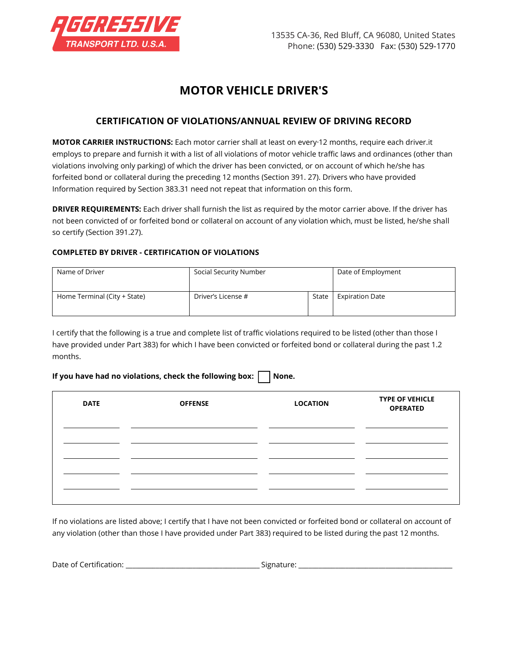

# **MOTOR VEHICLE DRIVER'S**

## **CERTIFICATION OF VIOLATIONS/ANNUAL REVIEW OF DRIVING RECORD**

**MOTOR CARRIER INSTRUCTIONS:** Each motor carrier shall at least on every·12 months, require each driver.it employs to prepare and furnish it with a list of all violations of motor vehicle traffic laws and ordinances (other than violations involving only parking) of which the driver has been convicted, or on account of which he/she has forfeited bond or collateral during the preceding 12 months (Section 391. 27). Drivers who have provided Information required by Section 383.31 need not repeat that information on this form.

**DRIVER REQUIREMENTS:** Each driver shall furnish the list as required by the motor carrier above. If the driver has not been convicted of or forfeited bond or collateral on account of any violation which, must be listed, he/she shall so certify (Section 391.27).

#### **COMPLETED BY DRIVER - CERTIFICATION OF VIOLATIONS**

| Name of Driver               | Social Security Number |       | Date of Employment     |
|------------------------------|------------------------|-------|------------------------|
| Home Terminal (City + State) | Driver's License #     | State | <b>Expiration Date</b> |

I certify that the following is a true and complete list of traffic violations required to be listed (other than those I have provided under Part 383) for which I have been convicted or forfeited bond or collateral during the past 1.2 months.

#### If you have had no violations, check the following box:  $\vert \vert$  None.

| <b>DATE</b> | <b>OFFENSE</b> | <b>LOCATION</b> | <b>TYPE OF VEHICLE</b><br><b>OPERATED</b> |
|-------------|----------------|-----------------|-------------------------------------------|
|             |                |                 |                                           |
|             |                |                 |                                           |
|             |                |                 |                                           |

If no violations are listed above; I certify that I have not been convicted or forfeited bond or collateral on account of any violation (other than those I have provided under Part 383) required to be listed during the past 12 months.

Date of Certification: \_\_\_\_\_\_\_\_\_\_\_\_\_\_\_\_\_\_\_\_\_\_\_\_\_\_\_\_\_\_\_\_\_\_\_\_\_\_\_\_ Signature: \_\_\_\_\_\_\_\_\_\_\_\_\_\_\_\_\_\_\_\_\_\_\_\_\_\_\_\_\_\_\_\_\_\_\_\_\_\_\_\_\_\_\_\_\_\_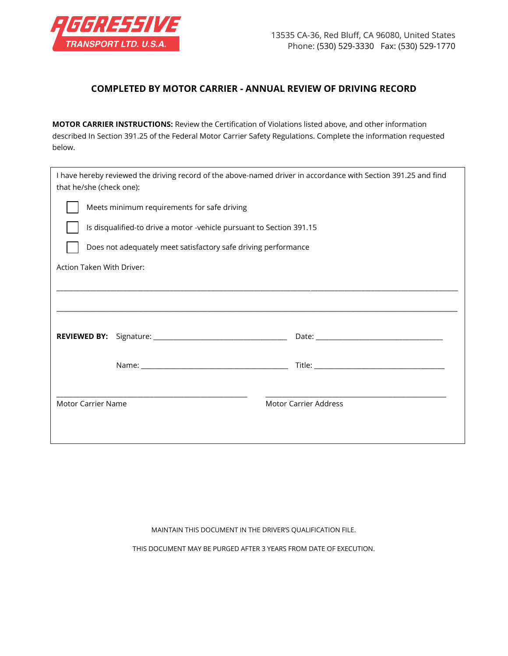

## **COMPLETED BY MOTOR CARRIER - ANNUAL REVIEW OF DRIVING RECORD**

**MOTOR CARRIER INSTRUCTIONS:** Review the Certification of Violations listed above, and other information described In Section 391.25 of the Federal Motor Carrier Safety Regulations. Complete the information requested below.

| I have hereby reviewed the driving record of the above-named driver in accordance with Section 391.25 and find<br>that he/she (check one): |                                                                      |  |  |  |
|--------------------------------------------------------------------------------------------------------------------------------------------|----------------------------------------------------------------------|--|--|--|
|                                                                                                                                            | Meets minimum requirements for safe driving                          |  |  |  |
|                                                                                                                                            | Is disqualified-to drive a motor -vehicle pursuant to Section 391.15 |  |  |  |
|                                                                                                                                            | Does not adequately meet satisfactory safe driving performance       |  |  |  |
| Action Taken With Driver:                                                                                                                  |                                                                      |  |  |  |
|                                                                                                                                            |                                                                      |  |  |  |
|                                                                                                                                            |                                                                      |  |  |  |
|                                                                                                                                            |                                                                      |  |  |  |
|                                                                                                                                            |                                                                      |  |  |  |
|                                                                                                                                            |                                                                      |  |  |  |
| <b>Motor Carrier Address</b><br><b>Motor Carrier Name</b>                                                                                  |                                                                      |  |  |  |
|                                                                                                                                            |                                                                      |  |  |  |
|                                                                                                                                            |                                                                      |  |  |  |

MAINTAIN THIS DOCUMENT IN THE DRIVER'S QUALIFICATION FILE.

THIS DOCUMENT MAY BE PURGED AFTER 3 YEARS FROM DATE OF EXECUTION.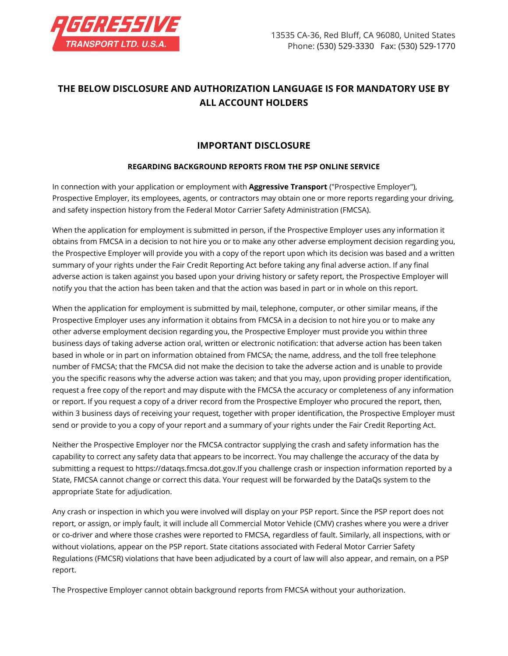

# **THE BELOW DISCLOSURE AND AUTHORIZATION LANGUAGE IS FOR MANDATORY USE BY ALL ACCOUNT HOLDERS**

## **IMPORTANT DISCLOSURE**

#### **REGARDING BACKGROUND REPORTS FROM THE PSP ONLINE SERVICE**

In connection with your application or employment with **Aggressive Transport** ("Prospective Employer"), Prospective Employer, its employees, agents, or contractors may obtain one or more reports regarding your driving, and safety inspection history from the Federal Motor Carrier Safety Administration (FMCSA).

When the application for employment is submitted in person, if the Prospective Employer uses any information it obtains from FMCSA in a decision to not hire you or to make any other adverse employment decision regarding you, the Prospective Employer will provide you with a copy of the report upon which its decision was based and a written summary of your rights under the Fair Credit Reporting Act before taking any final adverse action. If any final adverse action is taken against you based upon your driving history or safety report, the Prospective Employer will notify you that the action has been taken and that the action was based in part or in whole on this report.

When the application for employment is submitted by mail, telephone, computer, or other similar means, if the Prospective Employer uses any information it obtains from FMCSA in a decision to not hire you or to make any other adverse employment decision regarding you, the Prospective Employer must provide you within three business days of taking adverse action oral, written or electronic notification: that adverse action has been taken based in whole or in part on information obtained from FMCSA; the name, address, and the toll free telephone number of FMCSA; that the FMCSA did not make the decision to take the adverse action and is unable to provide you the specific reasons why the adverse action was taken; and that you may, upon providing proper identification, request a free copy of the report and may dispute with the FMCSA the accuracy or completeness of any information or report. If you request a copy of a driver record from the Prospective Employer who procured the report, then, within 3 business days of receiving your request, together with proper identification, the Prospective Employer must send or provide to you a copy of your report and a summary of your rights under the Fair Credit Reporting Act.

Neither the Prospective Employer nor the FMCSA contractor supplying the crash and safety information has the capability to correct any safety data that appears to be incorrect. You may challenge the accuracy of the data by submitting a request to https://dataqs.fmcsa.dot.gov.If you challenge crash or inspection information reported by a State, FMCSA cannot change or correct this data. Your request will be forwarded by the DataQs system to the appropriate State for adjudication.

Any crash or inspection in which you were involved will display on your PSP report. Since the PSP report does not report, or assign, or imply fault, it will include all Commercial Motor Vehicle (CMV) crashes where you were a driver or co-driver and where those crashes were reported to FMCSA, regardless of fault. Similarly, all inspections, with or without violations, appear on the PSP report. State citations associated with Federal Motor Carrier Safety Regulations (FMCSR) violations that have been adjudicated by a court of law will also appear, and remain, on a PSP report.

The Prospective Employer cannot obtain background reports from FMCSA without your authorization.